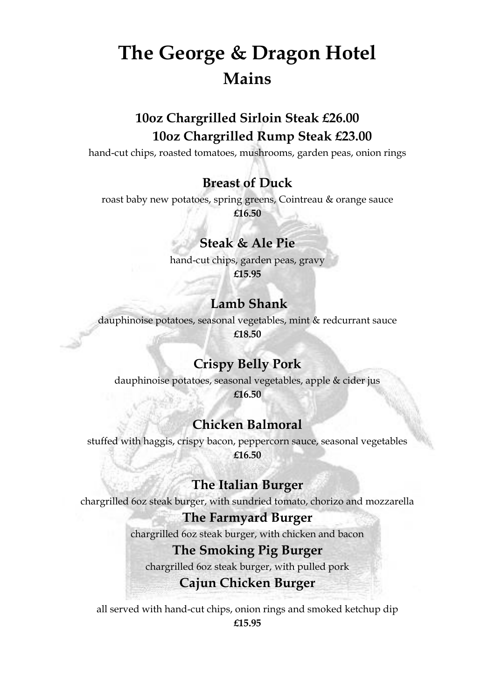# **The George & Dragon Hotel Mains**

# **10oz Chargrilled Sirloin Steak £26.00 10oz Chargrilled Rump Steak £23.00**

hand-cut chips, roasted tomatoes, mushrooms, garden peas, onion rings

## **Breast of Duck**

roast baby new potatoes, spring greens, Cointreau & orange sauce **£16.50**

### **Steak & Ale Pie**

hand-cut chips, garden peas, gravy **£15.95**

## **Lamb Shank**

dauphinoise potatoes, seasonal vegetables, mint & redcurrant sauce **£18.50**

## **Crispy Belly Pork**

dauphinoise potatoes, seasonal vegetables, apple & cider jus

**£16.50**

## **Chicken Balmoral**

stuffed with haggis, crispy bacon, peppercorn sauce, seasonal vegetables **£16.50**

## **The Italian Burger**

chargrilled 6oz steak burger, with sundried tomato, chorizo and mozzarella

#### **The Farmyard Burger**

chargrilled 6oz steak burger, with chicken and bacon

#### **The Smoking Pig Burger**

chargrilled 6oz steak burger, with pulled pork

### **Cajun Chicken Burger**

all served with hand-cut chips, onion rings and smoked ketchup dip **£15.95**